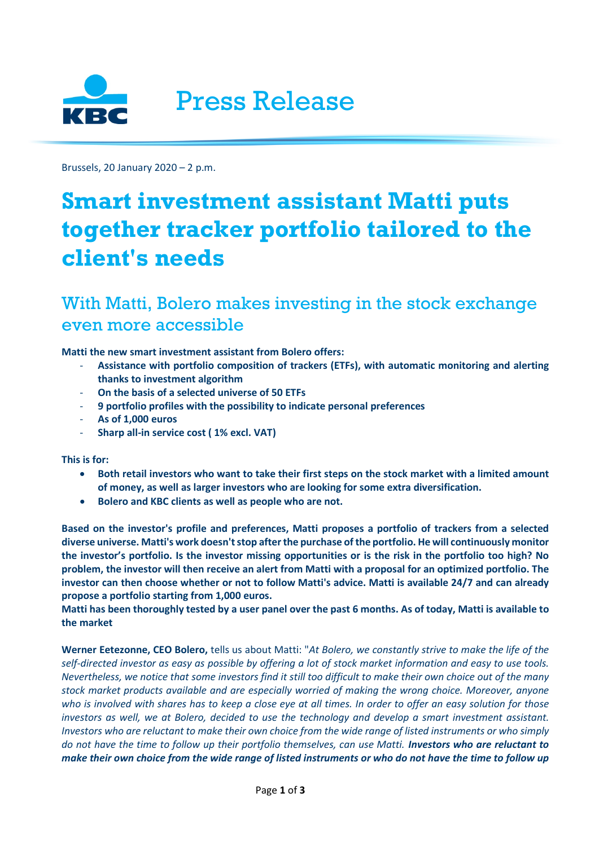

Brussels, 20 January 2020 – 2 p.m.

# **Smart investment assistant Matti puts together tracker portfolio tailored to the client's needs**

# With Matti, Bolero makes investing in the stock exchange even more accessible

**Matti the new smart investment assistant from Bolero offers:**

- **Assistance with portfolio composition of trackers (ETFs), with automatic monitoring and alerting thanks to investment algorithm**
- **On the basis of a selected universe of 50 ETFs**
- **9 portfolio profiles with the possibility to indicate personal preferences**
- **As of 1,000 euros**
- **Sharp all-in service cost ( 1% excl. VAT)**

**This is for:** 

- **Both retail investors who want to take their first steps on the stock market with a limited amount of money, as well as larger investors who are looking for some extra diversification.**
- **Bolero and KBC clients as well as people who are not.**

**Based on the investor's profile and preferences, Matti proposes a portfolio of trackers from a selected diverse universe. Matti's work doesn't stop after the purchase of the portfolio. He will continuously monitor the investor's portfolio. Is the investor missing opportunities or is the risk in the portfolio too high? No problem, the investor will then receive an alert from Matti with a proposal for an optimized portfolio. The investor can then choose whether or not to follow Matti's advice. Matti is available 24/7 and can already propose a portfolio starting from 1,000 euros.**

**Matti has been thoroughly tested by a user panel over the past 6 months. As of today, Matti is available to the market**

**Werner Eetezonne, CEO Bolero,** tells us about Matti: "*At Bolero, we constantly strive to make the life of the self-directed investor as easy as possible by offering a lot of stock market information and easy to use tools. Nevertheless, we notice that some investors find it still too difficult to make their own choice out of the many stock market products available and are especially worried of making the wrong choice. Moreover, anyone who is involved with shares has to keep a close eye at all times. In order to offer an easy solution for those investors as well, we at Bolero, decided to use the technology and develop a smart investment assistant. Investors who are reluctant to make their own choice from the wide range of listed instruments or who simply do not have the time to follow up their portfolio themselves, can use Matti. Investors who are reluctant to make their own choice from the wide range of listed instruments or who do not have the time to follow up*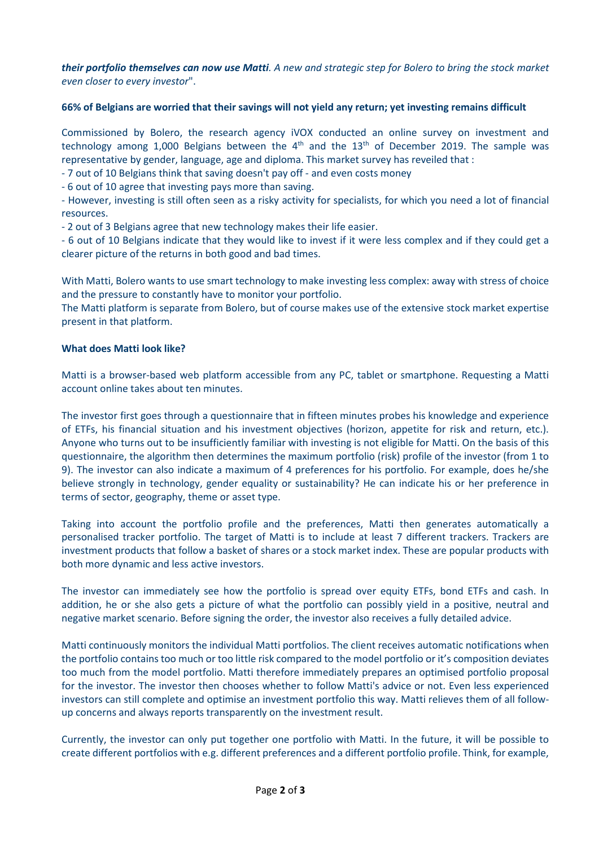*their portfolio themselves can now use Matti. A new and strategic step for Bolero to bring the stock market even closer to every investor*".

## **66% of Belgians are worried that their savings will not yield any return; yet investing remains difficult**

Commissioned by Bolero, the research agency iVOX conducted an online survey on investment and technology among 1,000 Belgians between the  $4<sup>th</sup>$  and the  $13<sup>th</sup>$  of December 2019. The sample was representative by gender, language, age and diploma. This market survey has reveiled that :

- 7 out of 10 Belgians think that saving doesn't pay off - and even costs money

- 6 out of 10 agree that investing pays more than saving.

- However, investing is still often seen as a risky activity for specialists, for which you need a lot of financial resources.

- 2 out of 3 Belgians agree that new technology makes their life easier.

- 6 out of 10 Belgians indicate that they would like to invest if it were less complex and if they could get a clearer picture of the returns in both good and bad times.

With Matti, Bolero wants to use smart technology to make investing less complex: away with stress of choice and the pressure to constantly have to monitor your portfolio.

The Matti platform is separate from Bolero, but of course makes use of the extensive stock market expertise present in that platform.

### **What does Matti look like?**

Matti is a browser-based web platform accessible from any PC, tablet or smartphone. Requesting a Matti account online takes about ten minutes.

The investor first goes through a questionnaire that in fifteen minutes probes his knowledge and experience of ETFs, his financial situation and his investment objectives (horizon, appetite for risk and return, etc.). Anyone who turns out to be insufficiently familiar with investing is not eligible for Matti. On the basis of this questionnaire, the algorithm then determines the maximum portfolio (risk) profile of the investor (from 1 to 9). The investor can also indicate a maximum of 4 preferences for his portfolio. For example, does he/she believe strongly in technology, gender equality or sustainability? He can indicate his or her preference in terms of sector, geography, theme or asset type.

Taking into account the portfolio profile and the preferences, Matti then generates automatically a personalised tracker portfolio. The target of Matti is to include at least 7 different trackers. Trackers are investment products that follow a basket of shares or a stock market index. These are popular products with both more dynamic and less active investors.

The investor can immediately see how the portfolio is spread over equity ETFs, bond ETFs and cash. In addition, he or she also gets a picture of what the portfolio can possibly yield in a positive, neutral and negative market scenario. Before signing the order, the investor also receives a fully detailed advice.

Matti continuously monitors the individual Matti portfolios. The client receives automatic notifications when the portfolio contains too much or too little risk compared to the model portfolio or it's composition deviates too much from the model portfolio. Matti therefore immediately prepares an optimised portfolio proposal for the investor. The investor then chooses whether to follow Matti's advice or not. Even less experienced investors can still complete and optimise an investment portfolio this way. Matti relieves them of all followup concerns and always reports transparently on the investment result.

Currently, the investor can only put together one portfolio with Matti. In the future, it will be possible to create different portfolios with e.g. different preferences and a different portfolio profile. Think, for example,